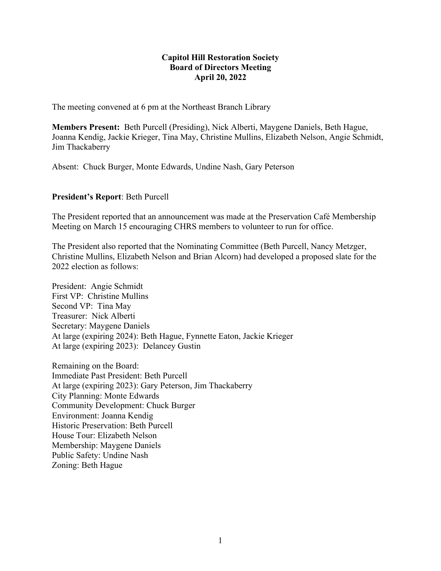### **Capitol Hill Restoration Society Board of Directors Meeting April 20, 2022**

The meeting convened at 6 pm at the Northeast Branch Library

**Members Present:** Beth Purcell (Presiding), Nick Alberti, Maygene Daniels, Beth Hague, Joanna Kendig, Jackie Krieger, Tina May, Christine Mullins, Elizabeth Nelson, Angie Schmidt, Jim Thackaberry

Absent: Chuck Burger, Monte Edwards, Undine Nash, Gary Peterson

#### **President's Report**: Beth Purcell

The President reported that an announcement was made at the Preservation Café Membership Meeting on March 15 encouraging CHRS members to volunteer to run for office.

The President also reported that the Nominating Committee (Beth Purcell, Nancy Metzger, Christine Mullins, Elizabeth Nelson and Brian Alcorn) had developed a proposed slate for the 2022 election as follows:

President: Angie Schmidt First VP: Christine Mullins Second VP: Tina May Treasurer: Nick Alberti Secretary: Maygene Daniels At large (expiring 2024): Beth Hague, Fynnette Eaton, Jackie Krieger At large (expiring 2023): Delancey Gustin

Remaining on the Board: Immediate Past President: Beth Purcell At large (expiring 2023): Gary Peterson, Jim Thackaberry City Planning: Monte Edwards Community Development: Chuck Burger Environment: Joanna Kendig Historic Preservation: Beth Purcell House Tour: Elizabeth Nelson Membership: Maygene Daniels Public Safety: Undine Nash Zoning: Beth Hague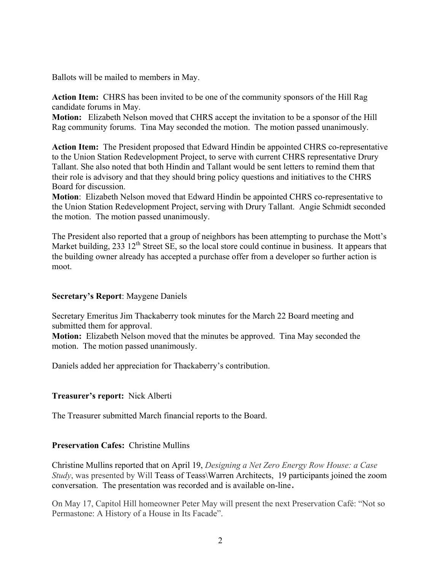Ballots will be mailed to members in May.

**Action Item:** CHRS has been invited to be one of the community sponsors of the Hill Rag candidate forums in May.

**Motion:** Elizabeth Nelson moved that CHRS accept the invitation to be a sponsor of the Hill Rag community forums. Tina May seconded the motion. The motion passed unanimously.

**Action Item:** The President proposed that Edward Hindin be appointed CHRS co-representative to the Union Station Redevelopment Project, to serve with current CHRS representative Drury Tallant. She also noted that both Hindin and Tallant would be sent letters to remind them that their role is advisory and that they should bring policy questions and initiatives to the CHRS Board for discussion.

**Motion**: Elizabeth Nelson moved that Edward Hindin be appointed CHRS co-representative to the Union Station Redevelopment Project, serving with Drury Tallant. Angie Schmidt seconded the motion. The motion passed unanimously.

The President also reported that a group of neighbors has been attempting to purchase the Mott's Market building, 233  $12<sup>th</sup>$  Street SE, so the local store could continue in business. It appears that the building owner already has accepted a purchase offer from a developer so further action is moot.

### **Secretary's Report**: Maygene Daniels

Secretary Emeritus Jim Thackaberry took minutes for the March 22 Board meeting and submitted them for approval.

**Motion:** Elizabeth Nelson moved that the minutes be approved. Tina May seconded the motion. The motion passed unanimously.

Daniels added her appreciation for Thackaberry's contribution.

# **Treasurer's report:** Nick Alberti

The Treasurer submitted March financial reports to the Board.

# **Preservation Cafes:** Christine Mullins

Christine Mullins reported that on April 19, *Designing a Net Zero Energy Row House: a Case Study*, was presented by Will Teass of Teass\Warren Architects, 19 participants joined the zoom conversation. The presentation was recorded and is available on-line.

On May 17, Capitol Hill homeowner Peter May will present the next Preservation Café: "Not so Permastone: A History of a House in Its Facade".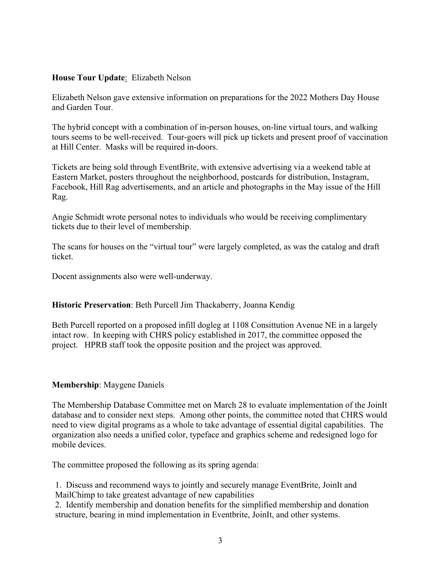# **House Tour Update**: Elizabeth Nelson

Elizabeth Nelson gave extensive information on preparations for the 2022 Mothers Day House and Garden Tour.

The hybrid concept with a combination of in-person houses, on-line virtual tours, and walking tours seems to be well-received. Tour-goers will pick up tickets and present proof of vaccination at Hill Center. Masks will be required in-doors.

Tickets are being sold through EventBrite, with extensive advertising via a weekend table at Eastern Market, posters throughout the neighborhood, postcards for distribution, Instagram, Facebook, Hill Rag advertisements, and an article and photographs in the May issue of the Hill Rag.

Angie Schmidt wrote personal notes to individuals who would be receiving complimentary tickets due to their level of membership.

The scans for houses on the "virtual tour" were largely completed, as was the catalog and draft ticket.

Docent assignments also were well-underway.

### **Historic Preservation**: Beth Purcell Jim Thackaberry, Joanna Kendig

Beth Purcell reported on a proposed infill dogleg at 1108 Consittution Avenue NE in a largely intact row. In keeping with CHRS policy established in 2017, the committee opposed the project. HPRB staff took the opposite position and the project was approved.

### **Membership**: Maygene Daniels

The Membership Database Committee met on March 28 to evaluate implementation of the JoinIt database and to consider next steps. Among other points, the committee noted that CHRS would need to view digital programs as a whole to take advantage of essential digital capabilities. The organization also needs a unified color, typeface and graphics scheme and redesigned logo for mobile devices.

The committee proposed the following as its spring agenda:

1. Discuss and recommend ways to jointly and securely manage EventBrite, JoinIt and MailChimp to take greatest advantage of new capabilities

2. Identify membership and donation benefits for the simplified membership and donation structure, bearing in mind implementation in Eventbrite, JoinIt, and other systems.